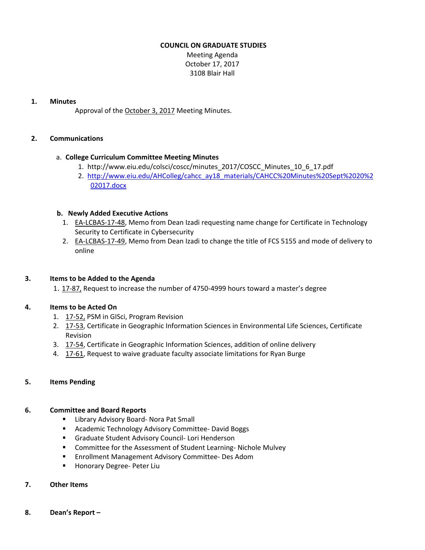## **COUNCIL ON GRADUATE STUDIES**

Meeting Agenda October 17, 2017 3108 Blair Hall

#### **1. Minutes**

Approval of the [October](http://castle.eiu.edu/eiucgs/currentminutes/Minutes10-3-17.pdf) 3, 2017 Meeting Minutes.

# **2. Communications**

## a. **College Curriculum Committee Meeting Minutes**

- 1. [http://www.eiu.edu/colsci/coscc/minutes\\_2017/COSCC\\_Minutes\\_10\\_6\\_17.pdf](http://www.eiu.edu/colsci/coscc/minutes_2017/COSCC_Minutes_10_6_17.pdf)
- 2. [http://www.eiu.edu/AHColleg/cahcc\\_ay18\\_materials/CAHCC%20Minutes%20Sept%2020%2](http://www.eiu.edu/AHColleg/cahcc_ay18_materials/CAHCC%20Minutes%20Sept%2020%202017.docx) 02017.docx

## **b. Newly Added Executive Actions**

- 1. **EA-[LCBAS](http://castle.eiu.edu/eiucgs/exec-actions/EA-LCBAS-17-48.pdf)-17-48**, Memo from Dean Izadi requesting name change for Certificate in Technology Security to Certificate in Cybersecurity
- 2. EA‐[LCBAS](http://castle.eiu.edu/eiucgs/exec-actions/EA-LCBAS-17-49.pdf)‐17‐49, Memo from Dean Izadi to change the title of FCS 5155 and mode of delivery to online

## **3. Items to be Added to the Agenda**

1. 17‐[87,](http://castle.eiu.edu/eiucgs/currentagendaitems/agenda17-87.pdf) Request to increase the number of 4750‐4999 hours toward a master's degree

## **4. Items to be Acted On**

- 1. 17‐[52,](http://castle.eiu.edu/eiucgs/currentagendaitems/agenda17-52.pdf) PSM in GISci, Program Revision
- 2. 17-[53,](http://castle.eiu.edu/eiucgs/currentagendaitems/agenda17-53.pdf) Certificate in Geographic Information Sciences in Environmental Life Sciences, Certificate Revision
- 3. 17‐[54,](http://castle.eiu.edu/eiucgs/currentagendaitems/agenda17-54.pdf) Certificate in Geographic Information Sciences, addition of online delivery
- 4. 17‐[61,](http://castle.eiu.edu/eiucgs/currentagendaitems/agenda17-61.pdf) Request to waive graduate faculty associate limitations for Ryan Burge

## **5. Items Pending**

## **6. Committee and Board Reports**

- Library Advisory Board- Nora Pat Small
- Academic Technology Advisory Committee- David Boggs
- Graduate Student Advisory Council- Lori Henderson
- Committee for the Assessment of Student Learning-Nichole Mulvey
- Enrollment Management Advisory Committee- Des Adom
- Honorary Degree- Peter Liu

## **7. Other Items**

**8. Dean's Report –**